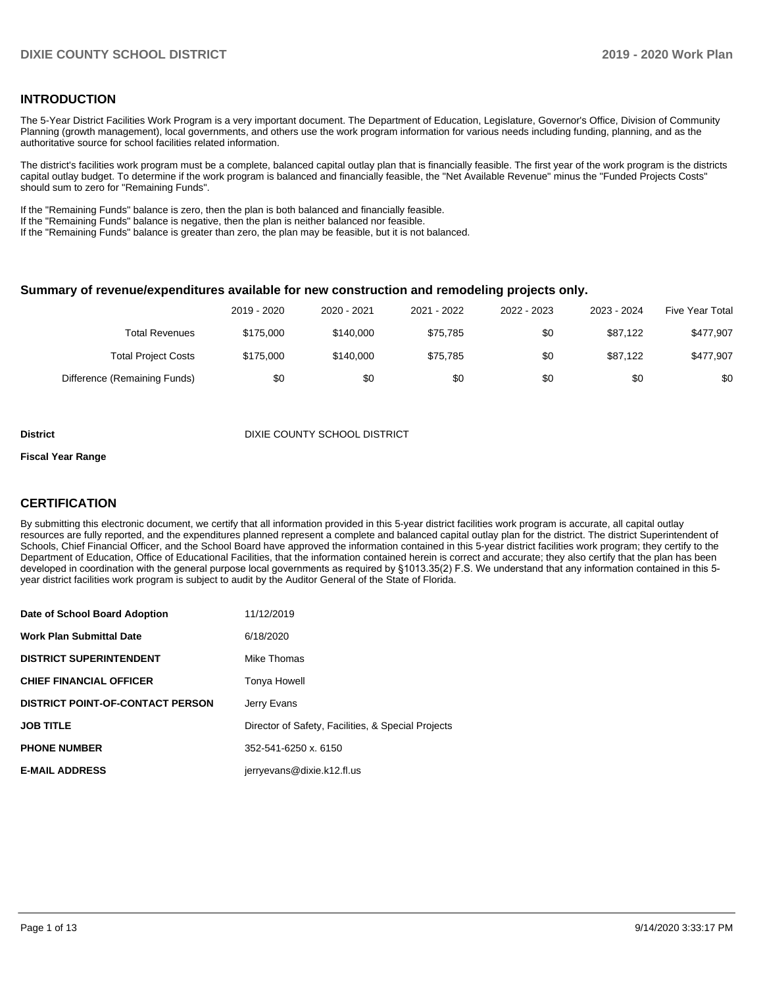### **INTRODUCTION**

The 5-Year District Facilities Work Program is a very important document. The Department of Education, Legislature, Governor's Office, Division of Community Planning (growth management), local governments, and others use the work program information for various needs including funding, planning, and as the authoritative source for school facilities related information.

The district's facilities work program must be a complete, balanced capital outlay plan that is financially feasible. The first year of the work program is the districts capital outlay budget. To determine if the work program is balanced and financially feasible, the "Net Available Revenue" minus the "Funded Projects Costs" should sum to zero for "Remaining Funds".

If the "Remaining Funds" balance is zero, then the plan is both balanced and financially feasible.

If the "Remaining Funds" balance is negative, then the plan is neither balanced nor feasible.

If the "Remaining Funds" balance is greater than zero, the plan may be feasible, but it is not balanced.

#### **Summary of revenue/expenditures available for new construction and remodeling projects only.**

| Five Year Total | 2023 - 2024 | 2022 - 2023 | 2021 - 2022 | 2020 - 2021 | 2019 - 2020 |                              |
|-----------------|-------------|-------------|-------------|-------------|-------------|------------------------------|
| \$477,907       | \$87.122    | \$0         | \$75.785    | \$140,000   | \$175,000   | Total Revenues               |
| \$477,907       | \$87.122    | \$0         | \$75.785    | \$140,000   | \$175,000   | <b>Total Project Costs</b>   |
| \$0             | \$0         | \$0         | \$0         | \$0         | \$0         | Difference (Remaining Funds) |

**District District District District District** DIXIE COUNTY SCHOOL DISTRICT

#### **Fiscal Year Range**

## **CERTIFICATION**

By submitting this electronic document, we certify that all information provided in this 5-year district facilities work program is accurate, all capital outlay resources are fully reported, and the expenditures planned represent a complete and balanced capital outlay plan for the district. The district Superintendent of Schools, Chief Financial Officer, and the School Board have approved the information contained in this 5-year district facilities work program; they certify to the Department of Education, Office of Educational Facilities, that the information contained herein is correct and accurate; they also certify that the plan has been developed in coordination with the general purpose local governments as required by §1013.35(2) F.S. We understand that any information contained in this 5 year district facilities work program is subject to audit by the Auditor General of the State of Florida.

| Date of School Board Adoption           | 11/12/2019                                         |
|-----------------------------------------|----------------------------------------------------|
| <b>Work Plan Submittal Date</b>         | 6/18/2020                                          |
| <b>DISTRICT SUPERINTENDENT</b>          | Mike Thomas                                        |
| <b>CHIEF FINANCIAL OFFICER</b>          | Tonya Howell                                       |
| <b>DISTRICT POINT-OF-CONTACT PERSON</b> | Jerry Evans                                        |
| <b>JOB TITLE</b>                        | Director of Safety, Facilities, & Special Projects |
| <b>PHONE NUMBER</b>                     | 352-541-6250 x, 6150                               |
| <b>E-MAIL ADDRESS</b>                   | jerryevans@dixie.k12.fl.us                         |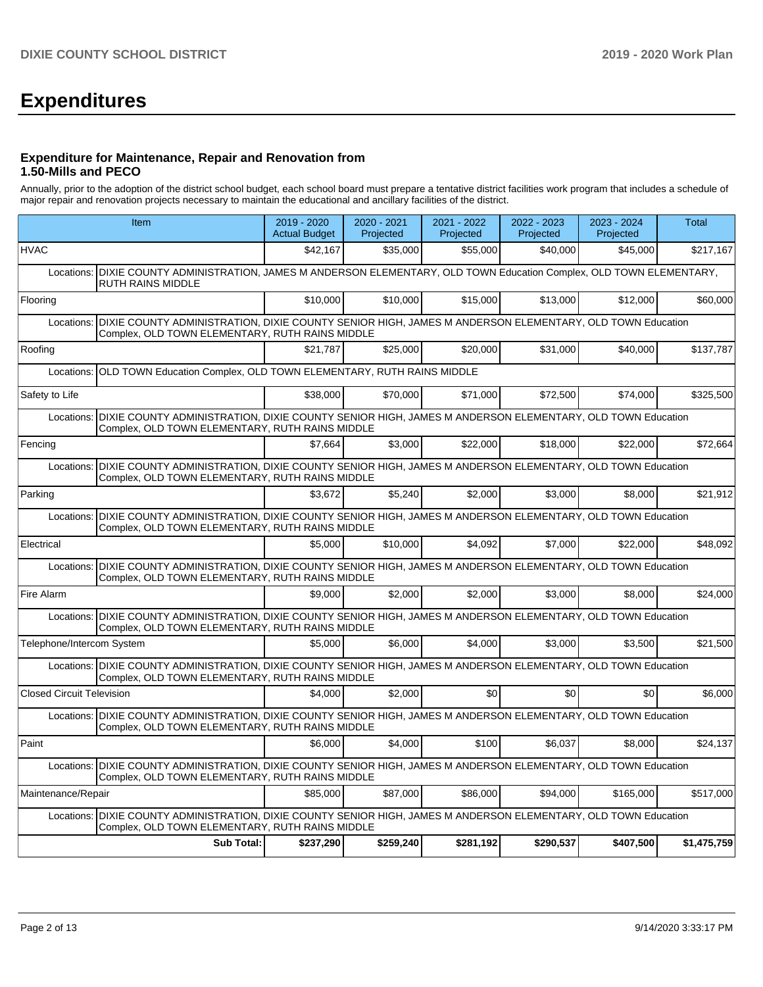# **Expenditures**

### **Expenditure for Maintenance, Repair and Renovation from 1.50-Mills and PECO**

Annually, prior to the adoption of the district school budget, each school board must prepare a tentative district facilities work program that includes a schedule of major repair and renovation projects necessary to maintain the educational and ancillary facilities of the district.

|                                  | Item                                                                                                                                                                 | 2019 - 2020<br><b>Actual Budget</b> | 2020 - 2021<br>Projected | $2021 - 2022$<br>Projected | 2022 - 2023<br>Projected | 2023 - 2024<br>Projected | <b>Total</b> |
|----------------------------------|----------------------------------------------------------------------------------------------------------------------------------------------------------------------|-------------------------------------|--------------------------|----------------------------|--------------------------|--------------------------|--------------|
| <b>HVAC</b>                      |                                                                                                                                                                      | \$42,167                            | \$35,000                 | \$55,000                   | \$40,000                 | \$45,000                 | \$217,167    |
| Locations:                       | DIXIE COUNTY ADMINISTRATION, JAMES M ANDERSON ELEMENTARY, OLD TOWN Education Complex, OLD TOWN ELEMENTARY,<br><b>RUTH RAINS MIDDLE</b>                               |                                     |                          |                            |                          |                          |              |
| Flooring                         |                                                                                                                                                                      | \$10,000                            | \$10,000                 | \$15,000                   | \$13,000                 | \$12,000                 | \$60,000     |
| Locations:                       | DIXIE COUNTY ADMINISTRATION, DIXIE COUNTY SENIOR HIGH, JAMES M ANDERSON ELEMENTARY, OLD TOWN Education<br>Complex, OLD TOWN ELEMENTARY, RUTH RAINS MIDDLE            |                                     |                          |                            |                          |                          |              |
| Roofing                          |                                                                                                                                                                      | \$21,787                            | \$25,000                 | \$20,000                   | \$31,000                 | \$40,000                 | \$137,787    |
| Locations:                       | OLD TOWN Education Complex, OLD TOWN ELEMENTARY, RUTH RAINS MIDDLE                                                                                                   |                                     |                          |                            |                          |                          |              |
| Safety to Life                   |                                                                                                                                                                      | \$38,000                            | \$70,000                 | \$71.000                   | \$72,500                 | \$74,000                 | \$325,500    |
| Locations:                       | DIXIE COUNTY ADMINISTRATION, DIXIE COUNTY SENIOR HIGH, JAMES M ANDERSON ELEMENTARY, OLD TOWN Education<br>Complex, OLD TOWN ELEMENTARY, RUTH RAINS MIDDLE            |                                     |                          |                            |                          |                          |              |
| Fencing                          |                                                                                                                                                                      | \$7.664                             | \$3.000                  | \$22,000                   | \$18,000                 | \$22,000                 | \$72,664     |
| Locations:                       | DIXIE COUNTY ADMINISTRATION, DIXIE COUNTY SENIOR HIGH, JAMES M ANDERSON ELEMENTARY, OLD TOWN Education<br>Complex, OLD TOWN ELEMENTARY, RUTH RAINS MIDDLE            |                                     |                          |                            |                          |                          |              |
| Parking                          |                                                                                                                                                                      | \$3,672                             | \$5,240                  | \$2,000                    | \$3,000                  | \$8,000                  | \$21,912     |
| Locations:                       | DIXIE COUNTY ADMINISTRATION, DIXIE COUNTY SENIOR HIGH, JAMES M ANDERSON ELEMENTARY, OLD TOWN Education<br>Complex, OLD TOWN ELEMENTARY, RUTH RAINS MIDDLE            |                                     |                          |                            |                          |                          |              |
| Electrical                       |                                                                                                                                                                      | \$5,000                             | \$10,000                 | \$4,092                    | \$7,000                  | \$22,000                 | \$48,092     |
| Locations:                       | DIXIE COUNTY ADMINISTRATION, DIXIE COUNTY SENIOR HIGH, JAMES M ANDERSON ELEMENTARY, OLD TOWN Education<br>Complex, OLD TOWN ELEMENTARY, RUTH RAINS MIDDLE            |                                     |                          |                            |                          |                          |              |
| Fire Alarm                       |                                                                                                                                                                      | \$9,000                             | \$2,000                  | \$2,000                    | \$3,000                  | \$8,000                  | \$24,000     |
| Locations:                       | DIXIE COUNTY ADMINISTRATION, DIXIE COUNTY SENIOR HIGH, JAMES M ANDERSON ELEMENTARY, OLD TOWN Education<br>Complex, OLD TOWN ELEMENTARY, RUTH RAINS MIDDLE            |                                     |                          |                            |                          |                          |              |
| Telephone/Intercom System        |                                                                                                                                                                      | \$5,000                             | \$6,000                  | \$4,000                    | \$3,000                  | \$3.500                  | \$21,500     |
| Locations:                       | DIXIE COUNTY ADMINISTRATION, DIXIE COUNTY SENIOR HIGH, JAMES M ANDERSON ELEMENTARY, OLD TOWN Education<br>Complex, OLD TOWN ELEMENTARY, RUTH RAINS MIDDLE            |                                     |                          |                            |                          |                          |              |
| <b>Closed Circuit Television</b> |                                                                                                                                                                      | \$4,000                             | \$2,000                  | \$0                        | \$0 <sub>1</sub>         | \$0                      | \$6.000      |
|                                  | Locations: DIXIE COUNTY ADMINISTRATION, DIXIE COUNTY SENIOR HIGH, JAMES M ANDERSON ELEMENTARY, OLD TOWN Education<br>Complex, OLD TOWN ELEMENTARY, RUTH RAINS MIDDLE |                                     |                          |                            |                          |                          |              |
| Paint                            |                                                                                                                                                                      | \$6,000                             | \$4,000                  | \$100                      | \$6,037                  | \$8,000                  | \$24,137     |
| Locations:                       | DIXIE COUNTY ADMINISTRATION, DIXIE COUNTY SENIOR HIGH, JAMES M ANDERSON ELEMENTARY, OLD TOWN Education<br>Complex, OLD TOWN ELEMENTARY, RUTH RAINS MIDDLE            |                                     |                          |                            |                          |                          |              |
| Maintenance/Repair               |                                                                                                                                                                      | \$85,000                            | \$87,000                 | \$86,000                   | \$94,000                 | \$165,000                | \$517,000    |
| Locations:                       | DIXIE COUNTY ADMINISTRATION, DIXIE COUNTY SENIOR HIGH, JAMES M ANDERSON ELEMENTARY, OLD TOWN Education<br>Complex, OLD TOWN ELEMENTARY, RUTH RAINS MIDDLE            |                                     |                          |                            |                          |                          |              |
|                                  | <b>Sub Total:</b>                                                                                                                                                    | \$237,290                           | \$259,240                | \$281,192                  | \$290,537                | \$407,500                | \$1,475,759  |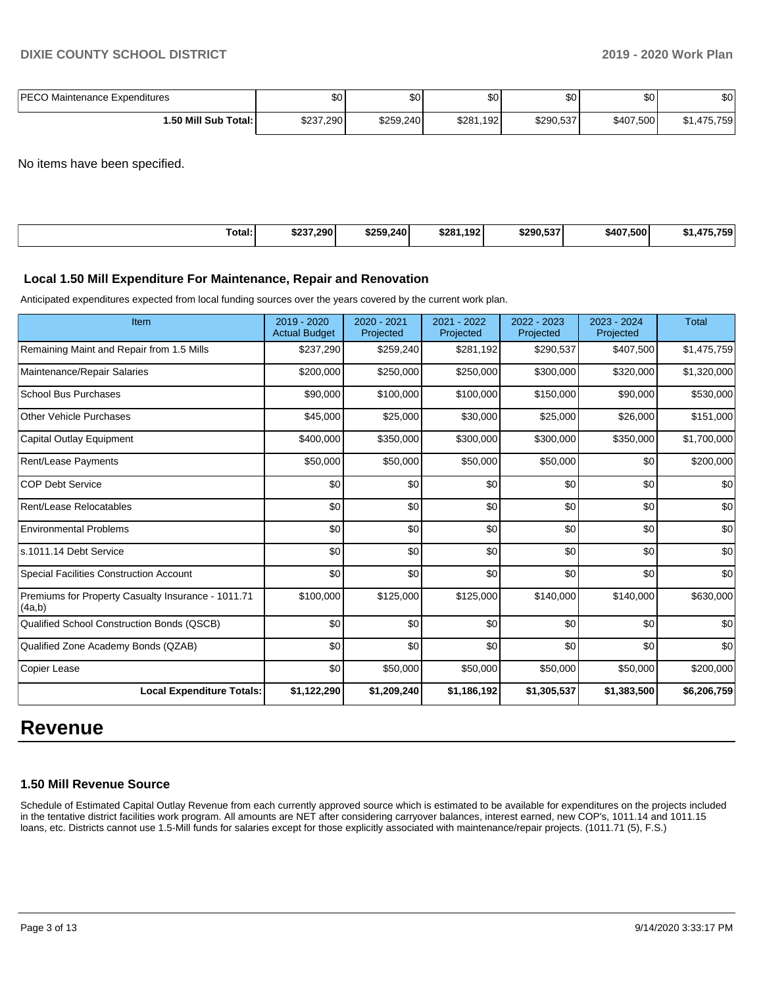| <b>IPECO</b><br>Maintenance Expenditures | ሶሳ<br>י שפ | $\sim$<br>Ψ | <b>SO</b>    | ሶሳ<br>υU  | \$0       | \$0      |
|------------------------------------------|------------|-------------|--------------|-----------|-----------|----------|
| l.50 Mill Sub Total:                     | \$237,290  | \$259,240   | \$281<br>192 | \$290,537 | \$407,500 | ,475,759 |

No items have been specified.

| Total: | \$237.290 | \$259.240 | 192 <sub>1</sub> | \$290.537 | \$407.500 | 471 |
|--------|-----------|-----------|------------------|-----------|-----------|-----|
| .      |           |           | \$281            |           |           | 759 |
|        |           |           |                  |           |           |     |

#### **Local 1.50 Mill Expenditure For Maintenance, Repair and Renovation**

Anticipated expenditures expected from local funding sources over the years covered by the current work plan.

| Item                                                         | 2019 - 2020<br><b>Actual Budget</b> | 2020 - 2021<br>Projected | 2021 - 2022<br>Projected | 2022 - 2023<br>Projected | 2023 - 2024<br>Projected | <b>Total</b> |
|--------------------------------------------------------------|-------------------------------------|--------------------------|--------------------------|--------------------------|--------------------------|--------------|
| Remaining Maint and Repair from 1.5 Mills                    | \$237,290                           | \$259,240                | \$281,192                | \$290,537                | \$407,500                | \$1,475,759  |
| Maintenance/Repair Salaries                                  | \$200,000                           | \$250,000                | \$250,000                | \$300,000                | \$320,000                | \$1,320,000  |
| <b>School Bus Purchases</b>                                  | \$90,000                            | \$100,000                | \$100,000                | \$150,000                | \$90,000                 | \$530,000    |
| Other Vehicle Purchases                                      | \$45,000                            | \$25,000                 | \$30,000                 | \$25,000                 | \$26,000                 | \$151,000    |
| Capital Outlay Equipment                                     | \$400,000                           | \$350,000                | \$300,000                | \$300,000                | \$350,000                | \$1,700,000  |
| Rent/Lease Payments                                          | \$50,000                            | \$50,000                 | \$50,000                 | \$50,000                 | \$0                      | \$200,000    |
| <b>COP Debt Service</b>                                      | \$0                                 | \$0                      | \$0                      | \$0                      | \$0                      | \$0          |
| Rent/Lease Relocatables                                      | \$0                                 | \$0                      | \$0                      | \$0                      | \$0                      | \$0          |
| <b>Environmental Problems</b>                                | \$0                                 | \$0                      | \$0                      | \$0                      | \$0                      | \$0          |
| ls.1011.14 Debt Service                                      | \$0                                 | \$0                      | \$0                      | \$0                      | \$0                      | \$0          |
| <b>Special Facilities Construction Account</b>               | \$0                                 | \$0                      | \$0                      | \$0                      | \$0                      | \$0          |
| Premiums for Property Casualty Insurance - 1011.71<br>(4a,b) | \$100,000                           | \$125,000                | \$125,000                | \$140,000                | \$140,000                | \$630,000    |
| Qualified School Construction Bonds (QSCB)                   | \$0                                 | \$0                      | \$0                      | \$0                      | \$0                      | \$0          |
| Qualified Zone Academy Bonds (QZAB)                          | \$0                                 | \$0                      | \$0                      | \$0                      | \$0                      | \$0          |
| Copier Lease                                                 | \$0                                 | \$50,000                 | \$50,000                 | \$50,000                 | \$50,000                 | \$200,000    |
| <b>Local Expenditure Totals:</b>                             | \$1,122,290                         | \$1,209,240              | \$1,186,192              | \$1,305,537              | \$1,383,500              | \$6,206,759  |

# **Revenue**

## **1.50 Mill Revenue Source**

Schedule of Estimated Capital Outlay Revenue from each currently approved source which is estimated to be available for expenditures on the projects included in the tentative district facilities work program. All amounts are NET after considering carryover balances, interest earned, new COP's, 1011.14 and 1011.15 loans, etc. Districts cannot use 1.5-Mill funds for salaries except for those explicitly associated with maintenance/repair projects. (1011.71 (5), F.S.)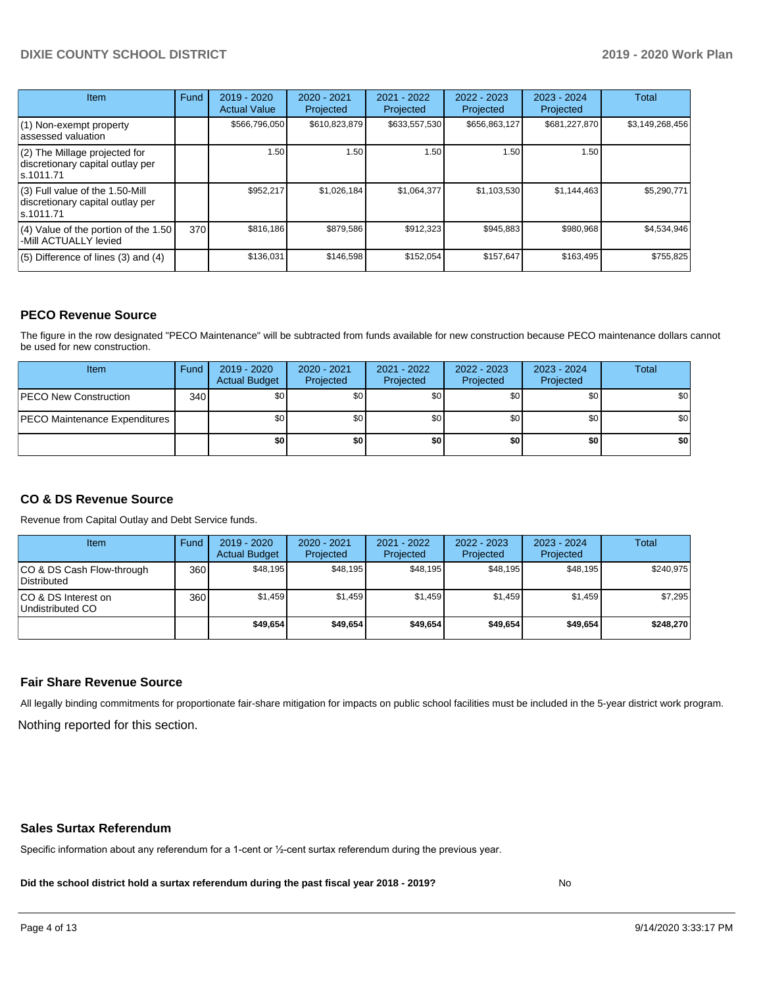# **DIXIE COUNTY SCHOOL DISTRICT 2019 - 2020 Work Plan**

| <b>Item</b>                                                                       | Fund | $2019 - 2020$<br><b>Actual Value</b> | $2020 - 2021$<br>Projected | 2021 - 2022<br>Projected | 2022 - 2023<br>Projected | $2023 - 2024$<br>Projected | <b>Total</b>    |
|-----------------------------------------------------------------------------------|------|--------------------------------------|----------------------------|--------------------------|--------------------------|----------------------------|-----------------|
| $(1)$ Non-exempt property<br>lassessed valuation                                  |      | \$566,796,050                        | \$610,823,879              | \$633,557,530            | \$656,863,127            | \$681,227,870              | \$3,149,268,456 |
| $(2)$ The Millage projected for<br>discretionary capital outlay per<br>ls.1011.71 |      | 1.50                                 | 1.50                       | 1.50                     | 1.50                     | 1.50                       |                 |
| (3) Full value of the 1.50-Mill<br>discretionary capital outlay per<br>ls.1011.71 |      | \$952,217                            | \$1,026,184                | \$1,064,377              | \$1,103,530              | \$1,144,463                | \$5,290,771     |
| (4) Value of the portion of the 1.50<br>-Mill ACTUALLY levied                     | 370I | \$816,186                            | \$879,586                  | \$912,323                | \$945,883                | \$980,968                  | \$4,534,946     |
| $(5)$ Difference of lines $(3)$ and $(4)$                                         |      | \$136,031                            | \$146,598                  | \$152,054                | \$157,647                | \$163,495                  | \$755,825       |

#### **PECO Revenue Source**

The figure in the row designated "PECO Maintenance" will be subtracted from funds available for new construction because PECO maintenance dollars cannot be used for new construction.

| <b>Item</b>                          | Fund         | $2019 - 2020$<br><b>Actual Budget</b> | $2020 - 2021$<br>Projected | 2021 - 2022<br>Projected | $2022 - 2023$<br>Projected | 2023 - 2024<br>Projected | Total            |
|--------------------------------------|--------------|---------------------------------------|----------------------------|--------------------------|----------------------------|--------------------------|------------------|
| <b>IPECO New Construction</b>        | 340 <b>I</b> | \$0                                   | \$0 <sub>1</sub>           | \$0                      | \$0 <sub>1</sub>           | \$0                      | \$0 <sub>1</sub> |
| <b>PECO Maintenance Expenditures</b> |              | \$0 I                                 | \$0 <sub>1</sub>           | \$0                      | \$0 <sub>1</sub>           | \$0                      | \$0              |
|                                      |              | \$0                                   | \$0                        | \$0                      | \$0                        | \$0                      | \$0              |

## **CO & DS Revenue Source**

Revenue from Capital Outlay and Debt Service funds.

| <b>Item</b>                               | Fund | $2019 - 2020$<br><b>Actual Budget</b> | 2020 - 2021<br>Projected | 2021 - 2022<br>Projected | $2022 - 2023$<br>Projected | $2023 - 2024$<br>Projected | Total     |
|-------------------------------------------|------|---------------------------------------|--------------------------|--------------------------|----------------------------|----------------------------|-----------|
| ICO & DS Cash Flow-through<br>Distributed | 360  | \$48.195                              | \$48.195                 | \$48.195                 | \$48.195                   | \$48,195                   | \$240,975 |
| ICO & DS Interest on<br>Undistributed CO  | 360  | \$1.459                               | \$1.459                  | \$1.459                  | \$1.459                    | \$1,459                    | \$7,295   |
|                                           |      | \$49,654                              | \$49.654                 | \$49.654                 | \$49,654                   | \$49,654                   | \$248,270 |

#### **Fair Share Revenue Source**

Nothing reported for this section. All legally binding commitments for proportionate fair-share mitigation for impacts on public school facilities must be included in the 5-year district work program.

#### **Sales Surtax Referendum**

Specific information about any referendum for a 1-cent or ½-cent surtax referendum during the previous year.

**Did the school district hold a surtax referendum during the past fiscal year 2018 - 2019?**

No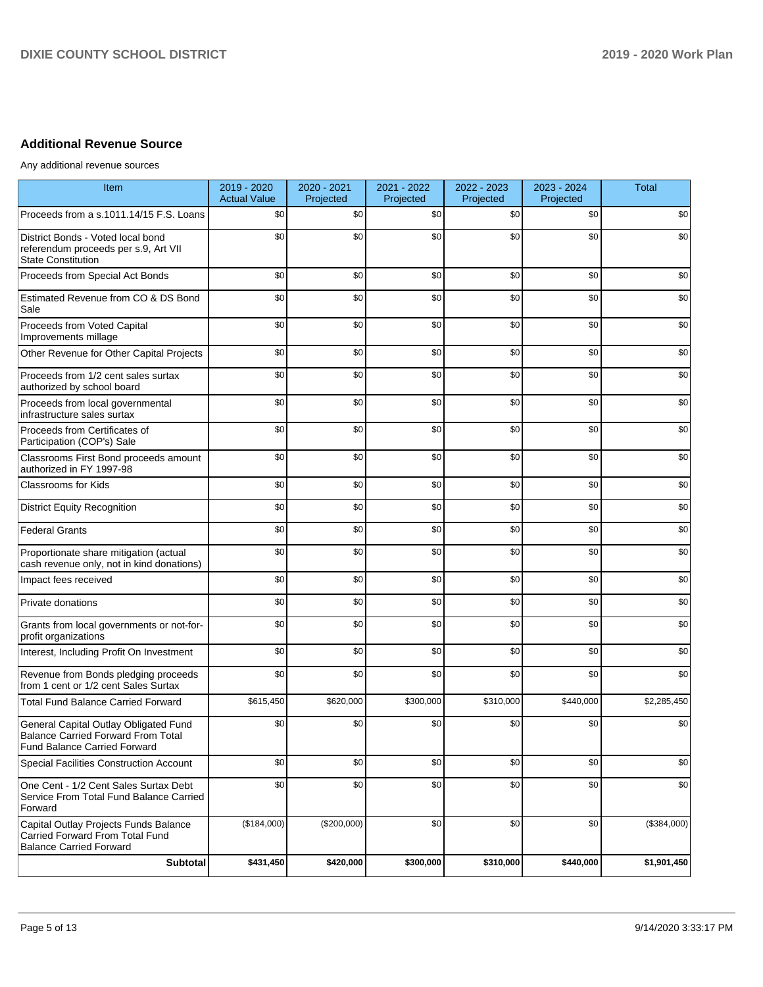# **Additional Revenue Source**

Any additional revenue sources

| Item                                                                                                                      | 2019 - 2020<br><b>Actual Value</b> | 2020 - 2021<br>Projected | 2021 - 2022<br>Projected | 2022 - 2023<br>Projected | 2023 - 2024<br>Projected | Total       |
|---------------------------------------------------------------------------------------------------------------------------|------------------------------------|--------------------------|--------------------------|--------------------------|--------------------------|-------------|
| Proceeds from a s.1011.14/15 F.S. Loans                                                                                   | \$0                                | \$0                      | \$0                      | \$0                      | \$0                      | \$0         |
| District Bonds - Voted local bond<br>referendum proceeds per s.9, Art VII<br><b>State Constitution</b>                    | \$0                                | \$0                      | \$0                      | \$0                      | \$0                      | \$0         |
| Proceeds from Special Act Bonds                                                                                           | \$0                                | \$0                      | \$0                      | \$0                      | \$0                      | \$0         |
| Estimated Revenue from CO & DS Bond<br>Sale                                                                               | \$0                                | \$0                      | \$0                      | \$0                      | \$0                      | \$0         |
| Proceeds from Voted Capital<br>Improvements millage                                                                       | \$0                                | \$0                      | \$0                      | \$0                      | \$0                      | \$0         |
| Other Revenue for Other Capital Projects                                                                                  | \$0                                | \$0                      | \$0                      | \$0                      | \$0                      | \$0         |
| Proceeds from 1/2 cent sales surtax<br>authorized by school board                                                         | \$0                                | \$0                      | \$0                      | \$0                      | \$0                      | \$0         |
| Proceeds from local governmental<br>infrastructure sales surtax                                                           | \$0                                | \$0                      | \$0                      | \$0                      | \$0                      | \$0         |
| Proceeds from Certificates of<br>Participation (COP's) Sale                                                               | \$0                                | \$0                      | \$0                      | \$0                      | \$0                      | \$0         |
| Classrooms First Bond proceeds amount<br>authorized in FY 1997-98                                                         | \$0                                | \$0                      | \$0                      | \$0                      | \$0                      | \$0         |
| <b>Classrooms for Kids</b>                                                                                                | \$0                                | \$0                      | \$0                      | \$0                      | \$0                      | \$0         |
| <b>District Equity Recognition</b>                                                                                        | \$0                                | \$0                      | \$0                      | \$0                      | \$0                      | \$0         |
| <b>Federal Grants</b>                                                                                                     | \$0                                | \$0                      | \$0                      | \$0                      | \$0                      | \$0         |
| Proportionate share mitigation (actual<br>cash revenue only, not in kind donations)                                       | \$0                                | \$0                      | \$0                      | \$0                      | \$0                      | \$0         |
| Impact fees received                                                                                                      | \$0                                | \$0                      | \$0                      | \$0                      | \$0                      | \$0         |
| Private donations                                                                                                         | \$0                                | \$0                      | \$0                      | \$0                      | \$0                      | \$0         |
| Grants from local governments or not-for-<br>profit organizations                                                         | \$0                                | \$0                      | \$0                      | \$0                      | \$0                      | \$0         |
| Interest, Including Profit On Investment                                                                                  | \$0                                | \$0                      | \$0                      | \$0                      | \$0                      | \$0         |
| Revenue from Bonds pledging proceeds<br>from 1 cent or 1/2 cent Sales Surtax                                              | \$0                                | \$0                      | \$0                      | \$0                      | \$0                      | \$0         |
| <b>Total Fund Balance Carried Forward</b>                                                                                 | \$615,450                          | \$620,000                | \$300,000                | \$310,000                | \$440,000                | \$2,285,450 |
| General Capital Outlay Obligated Fund<br><b>Balance Carried Forward From Total</b><br><b>Fund Balance Carried Forward</b> | \$0                                | \$0                      | \$0                      | \$0                      | \$0                      | \$0         |
| Special Facilities Construction Account                                                                                   | \$0                                | \$0                      | \$0                      | \$0                      | \$0                      | \$0         |
| One Cent - 1/2 Cent Sales Surtax Debt<br>Service From Total Fund Balance Carried<br>Forward                               | \$0                                | \$0                      | \$0                      | \$0                      | \$0                      | \$0         |
| Capital Outlay Projects Funds Balance<br>Carried Forward From Total Fund<br><b>Balance Carried Forward</b>                | (\$184,000)                        | (\$200,000)              | \$0                      | \$0                      | \$0                      | (\$384,000) |
| Subtotal                                                                                                                  | \$431,450                          | \$420,000                | \$300,000                | \$310,000                | \$440,000                | \$1,901,450 |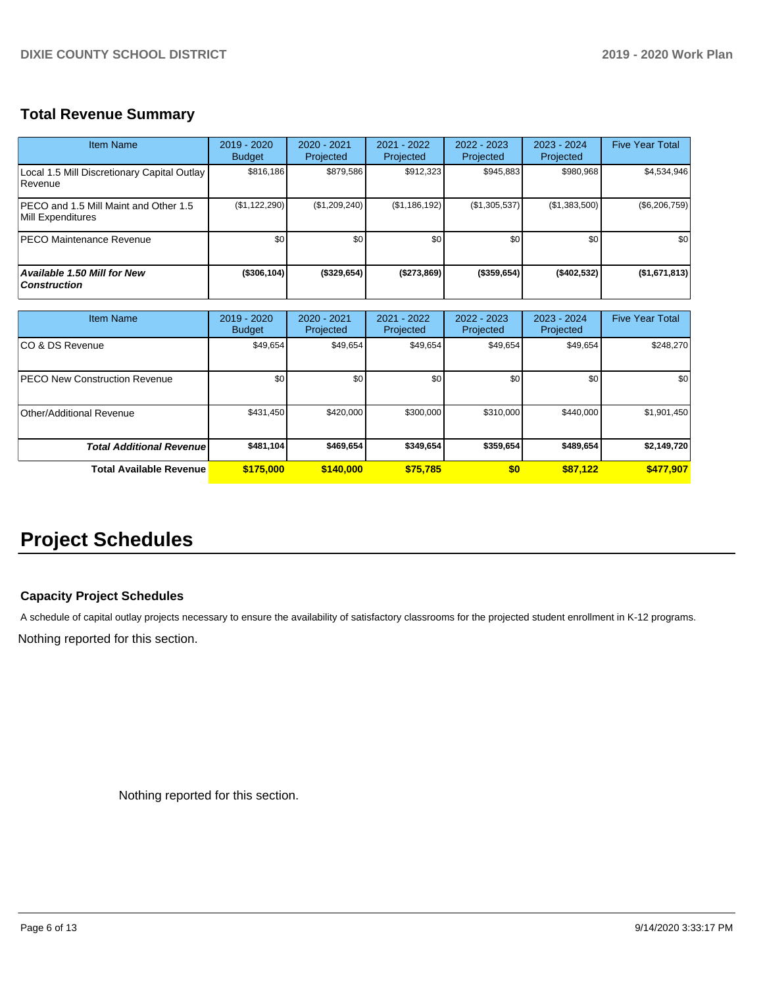# **Total Revenue Summary**

| <b>Item Name</b>                                            | $2019 - 2020$<br><b>Budget</b> | 2020 - 2021<br>Projected | 2021 - 2022<br>Projected | $2022 - 2023$<br>Projected | $2023 - 2024$<br>Projected | <b>Five Year Total</b> |
|-------------------------------------------------------------|--------------------------------|--------------------------|--------------------------|----------------------------|----------------------------|------------------------|
| Local 1.5 Mill Discretionary Capital Outlay<br>l Revenue    | \$816,186                      | \$879,586                | \$912,323                | \$945,883                  | \$980,968                  | \$4,534,946            |
| IPECO and 1.5 Mill Maint and Other 1.5<br>Mill Expenditures | (\$1,122,290)                  | (\$1,209,240)            | (\$1,186,192)            | (\$1,305,537)              | (\$1,383,500)              | (\$6,206,759)          |
| <b>PECO Maintenance Revenue</b>                             | \$0 <sub>1</sub>               | \$0                      | \$0                      | \$0                        | \$0                        | \$0                    |
| Available 1.50 Mill for New<br><b>Construction</b>          | (\$306,104)                    | (\$329,654)              | (\$273,869)              | $($ \$359,654)             | (\$402,532)                | (\$1,671,813)          |

| <b>Item Name</b>                      | 2019 - 2020<br><b>Budget</b> | 2020 - 2021<br>Projected | 2021 - 2022<br>Projected | 2022 - 2023<br>Projected | 2023 - 2024<br>Projected | <b>Five Year Total</b> |
|---------------------------------------|------------------------------|--------------------------|--------------------------|--------------------------|--------------------------|------------------------|
| ICO & DS Revenue                      | \$49,654                     | \$49,654                 | \$49,654                 | \$49,654                 | \$49,654                 | \$248,270              |
| <b>IPECO New Construction Revenue</b> | \$0                          | \$0                      | \$0                      | \$0                      | \$0                      | \$0                    |
| Other/Additional Revenue              | \$431,450                    | \$420,000                | \$300,000                | \$310,000                | \$440,000                | \$1,901,450            |
| <b>Total Additional Revenuel</b>      | \$481,104                    | \$469.654                | \$349.654                | \$359,654                | \$489.654                | \$2,149,720            |
| <b>Total Available Revenue</b>        | \$175,000                    | \$140,000                | \$75.785                 | \$0                      | \$87.122                 | \$477,907              |

# **Project Schedules**

# **Capacity Project Schedules**

A schedule of capital outlay projects necessary to ensure the availability of satisfactory classrooms for the projected student enrollment in K-12 programs.

Nothing reported for this section.

Nothing reported for this section.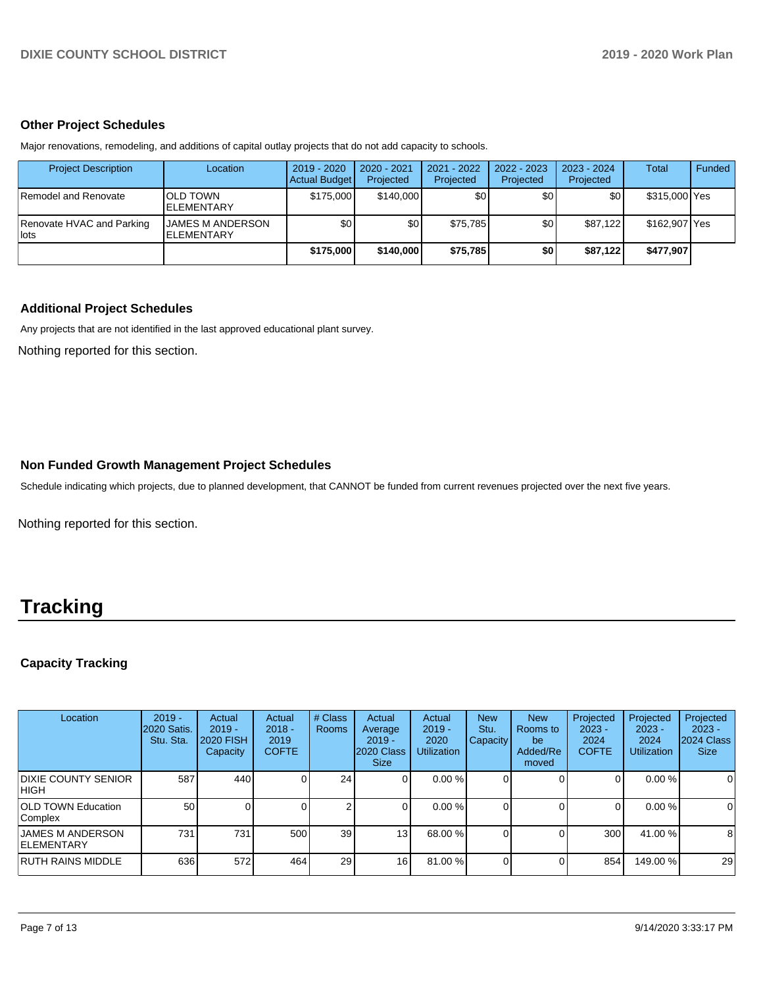#### **Other Project Schedules**

Major renovations, remodeling, and additions of capital outlay projects that do not add capacity to schools.

| <b>Project Description</b>          | Location                                     | 2019 - 2020<br><b>Actual Budget</b> | 2020 - 2021<br>Projected | 2021 - 2022<br>Projected | 2022 - 2023<br>Projected | 2023 - 2024<br>Projected | Total         | Funded |
|-------------------------------------|----------------------------------------------|-------------------------------------|--------------------------|--------------------------|--------------------------|--------------------------|---------------|--------|
| Remodel and Renovate                | <b>OLD TOWN</b><br><b>ELEMENTARY</b>         | \$175,000                           | \$140,000                | \$0                      | \$0                      | \$0                      | \$315,000 Yes |        |
| Renovate HVAC and Parking<br>l lots | <b>JAMES M ANDERSON</b><br><b>ELEMENTARY</b> | \$0                                 | \$0                      | \$75.785                 | \$0                      | \$87.122                 | \$162,907 Yes |        |
|                                     |                                              | \$175,000                           | \$140,000                | \$75,785                 | \$0                      | \$87.122                 | \$477,907     |        |

### **Additional Project Schedules**

Any projects that are not identified in the last approved educational plant survey.

Nothing reported for this section.

### **Non Funded Growth Management Project Schedules**

Schedule indicating which projects, due to planned development, that CANNOT be funded from current revenues projected over the next five years.

Nothing reported for this section.

# **Tracking**

# **Capacity Tracking**

| Location                                      | $2019 -$<br><b>2020 Satis.</b><br>Stu. Sta. | Actual<br>$2019 -$<br><b>2020 FISH</b><br>Capacity | Actual<br>$2018 -$<br>2019<br><b>COFTE</b> | # Class<br><b>Rooms</b> | Actual<br>Average<br>$2019 -$<br>2020 Class<br><b>Size</b> | Actual<br>$2019 -$<br>2020<br><b>Utilization</b> | <b>New</b><br>Stu.<br><b>Capacity</b> | <b>New</b><br>Rooms to<br>be<br>Added/Re<br>moved | Projected<br>$2023 -$<br>2024<br><b>COFTE</b> | Projected<br>$2023 -$<br>2024<br><b>Utilization</b> | Projected<br>$2023 -$<br>2024 Class<br><b>Size</b> |
|-----------------------------------------------|---------------------------------------------|----------------------------------------------------|--------------------------------------------|-------------------------|------------------------------------------------------------|--------------------------------------------------|---------------------------------------|---------------------------------------------------|-----------------------------------------------|-----------------------------------------------------|----------------------------------------------------|
| <b>DIXIE COUNTY SENIOR</b><br>IHIGH.          | 587                                         | 440                                                |                                            | 24                      |                                                            | 0.00%                                            |                                       |                                                   | 0                                             | 0.00%                                               | $\mathbf 0$                                        |
| <b>OLD TOWN Education</b><br>Complex          | 50                                          |                                                    |                                            | 2                       |                                                            | 0.00%                                            |                                       |                                                   | 0                                             | 0.00%                                               | $\mathbf 0$                                        |
| <b>JAMES M ANDERSON</b><br><b>IELEMENTARY</b> | 731                                         | 731                                                | 500                                        | 39                      | 13                                                         | 68.00 %                                          |                                       |                                                   | 300                                           | 41.00 %                                             | 8                                                  |
| IRUTH RAINS MIDDLE                            | 636                                         | 572                                                | 464                                        | 29                      | 16                                                         | 81.00 %                                          |                                       |                                                   | 854                                           | 149.00 %                                            | 29                                                 |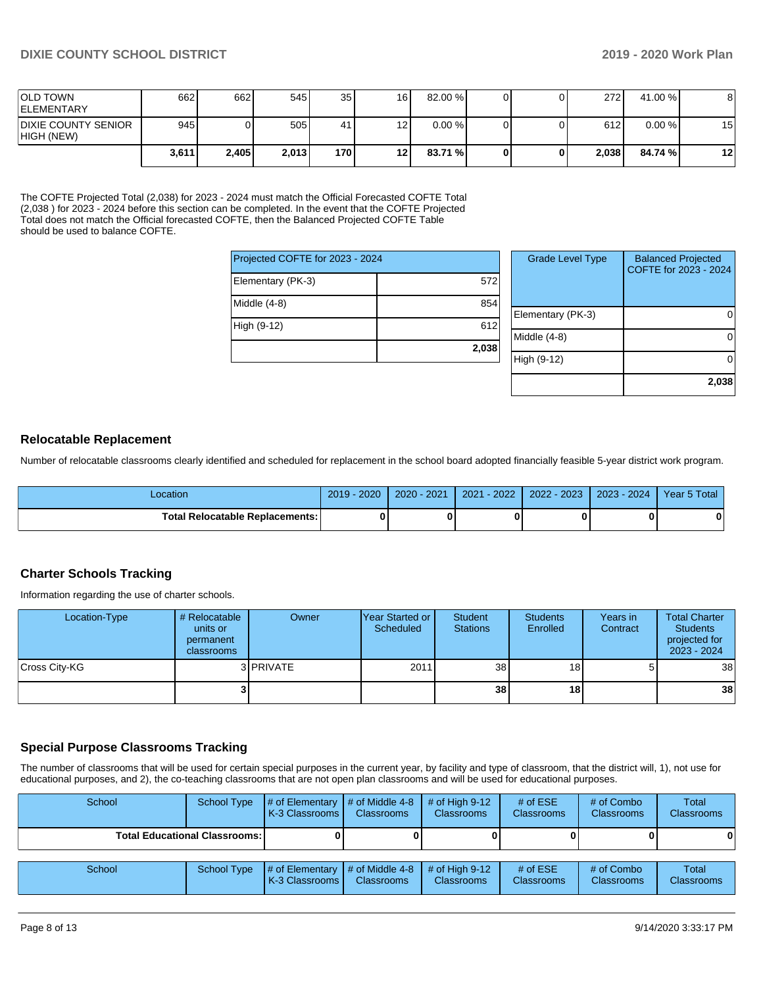| <b>OLD TOWN</b><br><b>IELEMENTARY</b>    | 662   | 662   | 545   | 35    | 16 <sup>1</sup> | 82.00 %   |  | 272 <sup>1</sup> | 41.00 %   | 8  |
|------------------------------------------|-------|-------|-------|-------|-----------------|-----------|--|------------------|-----------|----|
| <b>DIXIE COUNTY SENIOR</b><br>HIGH (NEW) | 945   |       | 505   | 41    | 12 <sub>1</sub> | $0.00 \%$ |  | 612 <sup>I</sup> | $0.00 \%$ | 15 |
|                                          | 3,611 | 2.405 | 2,013 | 170 I | 12 <sup>1</sup> | 83.71 %   |  | 2.038            | 84.74 %   | 12 |

The COFTE Projected Total (2,038) for 2023 - 2024 must match the Official Forecasted COFTE Total (2,038 ) for 2023 - 2024 before this section can be completed. In the event that the COFTE Projected Total does not match the Official forecasted COFTE, then the Balanced Projected COFTE Table should be used to balance COFTE.

| Projected COFTE for 2023 - 2024 |       |  |  |  |  |  |
|---------------------------------|-------|--|--|--|--|--|
| Elementary (PK-3)               | 572   |  |  |  |  |  |
| Middle (4-8)                    | 854   |  |  |  |  |  |
| High (9-12)                     | 612   |  |  |  |  |  |
|                                 | 2,038 |  |  |  |  |  |

| <b>Grade Level Type</b> | <b>Balanced Projected</b><br>COFTE for 2023 - 2024 |
|-------------------------|----------------------------------------------------|
| Elementary (PK-3)       |                                                    |
| Middle $(4-8)$          |                                                    |
| High (9-12)             |                                                    |
|                         | 2,038                                              |

### **Relocatable Replacement**

Number of relocatable classrooms clearly identified and scheduled for replacement in the school board adopted financially feasible 5-year district work program.

| -ocation                               | 2020<br>2019 | $2020 - 2021$ | $-2022'$<br>2021 | 2022 - 2023 | $2023 - 2024$ | Year 5 Total |
|----------------------------------------|--------------|---------------|------------------|-------------|---------------|--------------|
| <b>Total Relocatable Replacements:</b> |              |               |                  |             |               | 0            |

#### **Charter Schools Tracking**

Information regarding the use of charter schools.

| Location-Type | # Relocatable<br>units or<br>permanent<br><b>classrooms</b> | Owner     | Year Started or<br>Scheduled | Student<br><b>Stations</b> | <b>Students</b><br>Enrolled | Years in<br>Contract | <b>Total Charter</b><br><b>Students</b><br>projected for<br>2023 - 2024 |
|---------------|-------------------------------------------------------------|-----------|------------------------------|----------------------------|-----------------------------|----------------------|-------------------------------------------------------------------------|
| Cross City-KG |                                                             | 3 PRIVATE | 2011                         | 38 <sup>1</sup>            | 18 I                        | 51                   | 38                                                                      |
|               |                                                             |           |                              | 38                         | 18 I                        |                      | 38                                                                      |

#### **Special Purpose Classrooms Tracking**

The number of classrooms that will be used for certain special purposes in the current year, by facility and type of classroom, that the district will, 1), not use for educational purposes, and 2), the co-teaching classrooms that are not open plan classrooms and will be used for educational purposes.

| School                                 |  | School Type $\frac{1}{4}$ of Elementary $\frac{1}{4}$ of Middle 4-8 $\frac{1}{4}$ of High 9-12<br><b>K-3 Classrooms I</b> | <b>Classrooms</b> | <b>Classrooms</b> | # of $ESE$<br><b>Classrooms</b> | # of Combo<br><b>Classrooms</b> | Total<br><b>Classrooms</b> |
|----------------------------------------|--|---------------------------------------------------------------------------------------------------------------------------|-------------------|-------------------|---------------------------------|---------------------------------|----------------------------|
| <b>Total Educational Classrooms: I</b> |  |                                                                                                                           |                   |                   |                                 | 0                               | 0                          |
|                                        |  |                                                                                                                           |                   |                   |                                 |                                 |                            |

| School | School Type | $\parallel$ # of Elementary $\parallel$ # of Middle 4-8 $\parallel$ # of High 9-12<br>K-3 Classrooms I | <b>Classrooms</b> | <b>Classrooms</b> | # of $ESE$<br><b>Classrooms</b> | # of Combo<br><b>Classrooms</b> | <b>Total</b><br><b>Classrooms</b> |
|--------|-------------|--------------------------------------------------------------------------------------------------------|-------------------|-------------------|---------------------------------|---------------------------------|-----------------------------------|
|--------|-------------|--------------------------------------------------------------------------------------------------------|-------------------|-------------------|---------------------------------|---------------------------------|-----------------------------------|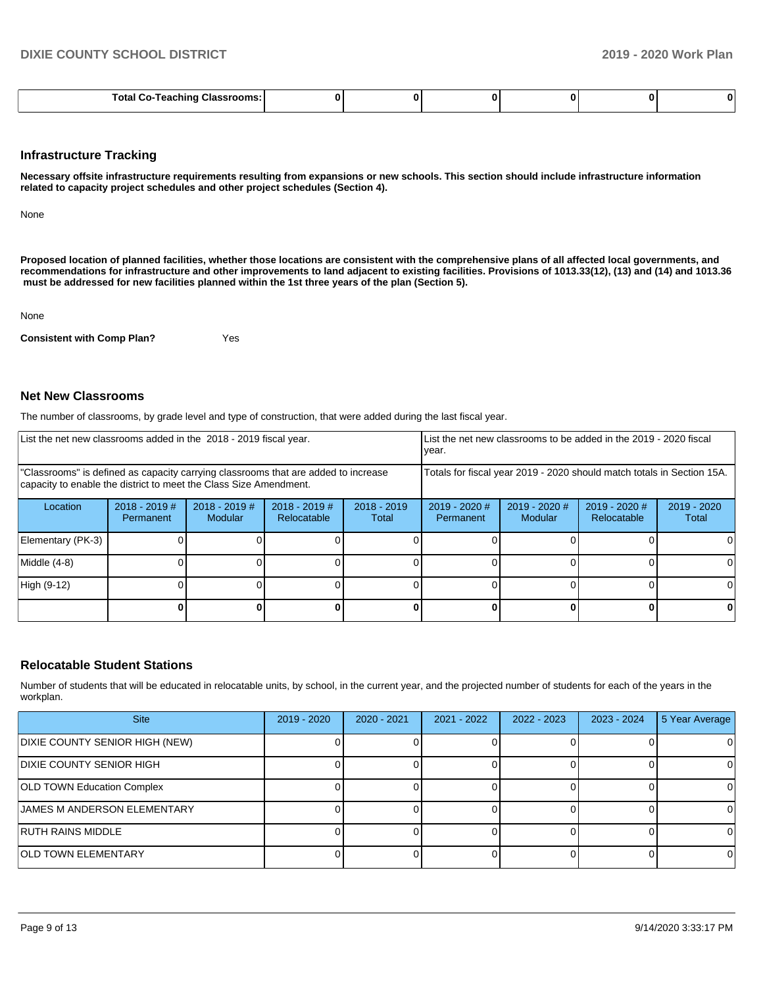| -- | Total<br>$\cdots$<br>' Classrooms: .<br>eacninc |  |  |  |  |  |  |
|----|-------------------------------------------------|--|--|--|--|--|--|
|----|-------------------------------------------------|--|--|--|--|--|--|

#### **Infrastructure Tracking**

**Necessary offsite infrastructure requirements resulting from expansions or new schools. This section should include infrastructure information related to capacity project schedules and other project schedules (Section 4).** 

None

**Proposed location of planned facilities, whether those locations are consistent with the comprehensive plans of all affected local governments, and recommendations for infrastructure and other improvements to land adjacent to existing facilities. Provisions of 1013.33(12), (13) and (14) and 1013.36 must be addressed for new facilities planned within the 1st three years of the plan (Section 5).** 

None

**Consistent with Comp Plan?** Yes

#### **Net New Classrooms**

The number of classrooms, by grade level and type of construction, that were added during the last fiscal year.

| List the net new classrooms added in the 2018 - 2019 fiscal year.                                                                                       | List the net new classrooms to be added in the 2019 - 2020 fiscal<br>year. |                                   |                                |                        |                                                                        |                          |                              |                        |  |
|---------------------------------------------------------------------------------------------------------------------------------------------------------|----------------------------------------------------------------------------|-----------------------------------|--------------------------------|------------------------|------------------------------------------------------------------------|--------------------------|------------------------------|------------------------|--|
| "Classrooms" is defined as capacity carrying classrooms that are added to increase<br>capacity to enable the district to meet the Class Size Amendment. |                                                                            |                                   |                                |                        | Totals for fiscal year 2019 - 2020 should match totals in Section 15A. |                          |                              |                        |  |
| Location                                                                                                                                                | $2018 - 2019$ #<br>Permanent                                               | $2018 - 2019$ #<br><b>Modular</b> | $2018 - 2019$ #<br>Relocatable | $2018 - 2019$<br>Total | 2019 - 2020 #<br>Permanent                                             | 2019 - 2020 #<br>Modular | 2019 - 2020 #<br>Relocatable | $2019 - 2020$<br>Total |  |
| Elementary (PK-3)                                                                                                                                       |                                                                            |                                   |                                |                        |                                                                        |                          |                              | 0                      |  |
| Middle (4-8)                                                                                                                                            |                                                                            |                                   |                                |                        |                                                                        |                          |                              | 0                      |  |
| High (9-12)                                                                                                                                             |                                                                            |                                   |                                |                        |                                                                        |                          |                              | $\Omega$               |  |
|                                                                                                                                                         |                                                                            |                                   |                                |                        |                                                                        |                          |                              | 0                      |  |

#### **Relocatable Student Stations**

Number of students that will be educated in relocatable units, by school, in the current year, and the projected number of students for each of the years in the workplan.

| <b>Site</b>                        | $2019 - 2020$ | $2020 - 2021$ | $2021 - 2022$ | $2022 - 2023$ | $2023 - 2024$ | 5 Year Average |
|------------------------------------|---------------|---------------|---------------|---------------|---------------|----------------|
| DIXIE COUNTY SENIOR HIGH (NEW)     |               |               |               |               |               | 0              |
| <b>DIXIE COUNTY SENIOR HIGH</b>    |               |               |               |               |               | 0              |
| <b>OLD TOWN Education Complex</b>  |               |               |               |               |               | 0              |
| <b>JAMES M ANDERSON ELEMENTARY</b> |               |               |               |               |               | 0              |
| <b>RUTH RAINS MIDDLE</b>           |               |               |               |               |               | $\Omega$       |
| <b>OLD TOWN ELEMENTARY</b>         |               |               |               |               |               | 0              |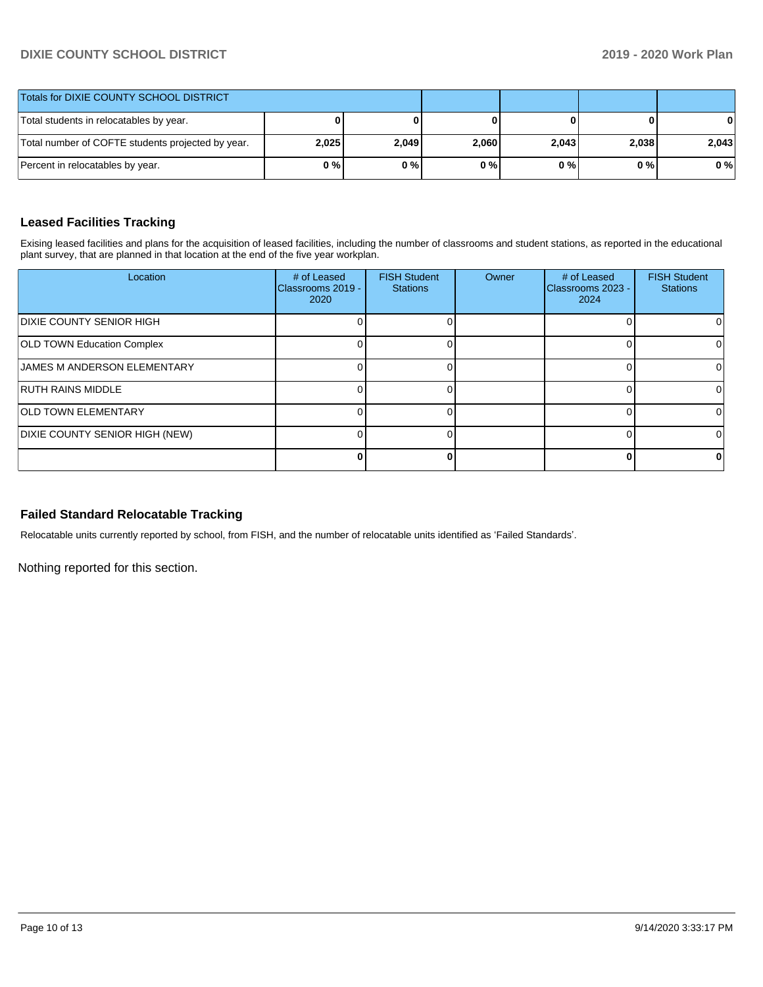# **DIXIE COUNTY SCHOOL DISTRICT 2019 - 2020 Work Plan**

| Totals for DIXIE COUNTY SCHOOL DISTRICT           |       |       |       |       |       |       |
|---------------------------------------------------|-------|-------|-------|-------|-------|-------|
| Total students in relocatables by year.           |       |       |       |       |       | 0     |
| Total number of COFTE students projected by year. | 2,025 | 2,049 | 2,060 | 2.043 | 2.038 | 2.043 |
| Percent in relocatables by year.                  | 0%    | 0%    | 0%    | 0 % I | 0 % I | 0%    |

# **Leased Facilities Tracking**

Exising leased facilities and plans for the acquisition of leased facilities, including the number of classrooms and student stations, as reported in the educational plant survey, that are planned in that location at the end of the five year workplan.

| Location                           | # of Leased<br>IClassrooms 2019 -<br>2020 | <b>FISH Student</b><br><b>Stations</b> | Owner | # of Leased<br>Classrooms 2023 -<br>2024 | <b>FISH Student</b><br><b>Stations</b> |
|------------------------------------|-------------------------------------------|----------------------------------------|-------|------------------------------------------|----------------------------------------|
| <b>DIXIE COUNTY SENIOR HIGH</b>    |                                           |                                        |       |                                          |                                        |
| <b>OLD TOWN Education Complex</b>  |                                           |                                        |       |                                          |                                        |
| <b>JAMES M ANDERSON ELEMENTARY</b> |                                           |                                        |       |                                          |                                        |
| <b>RUTH RAINS MIDDLE</b>           |                                           |                                        |       |                                          |                                        |
| <b>OLD TOWN ELEMENTARY</b>         |                                           |                                        |       |                                          |                                        |
| DIXIE COUNTY SENIOR HIGH (NEW)     |                                           |                                        |       |                                          |                                        |
|                                    |                                           |                                        |       | 0                                        |                                        |

### **Failed Standard Relocatable Tracking**

Relocatable units currently reported by school, from FISH, and the number of relocatable units identified as 'Failed Standards'.

Nothing reported for this section.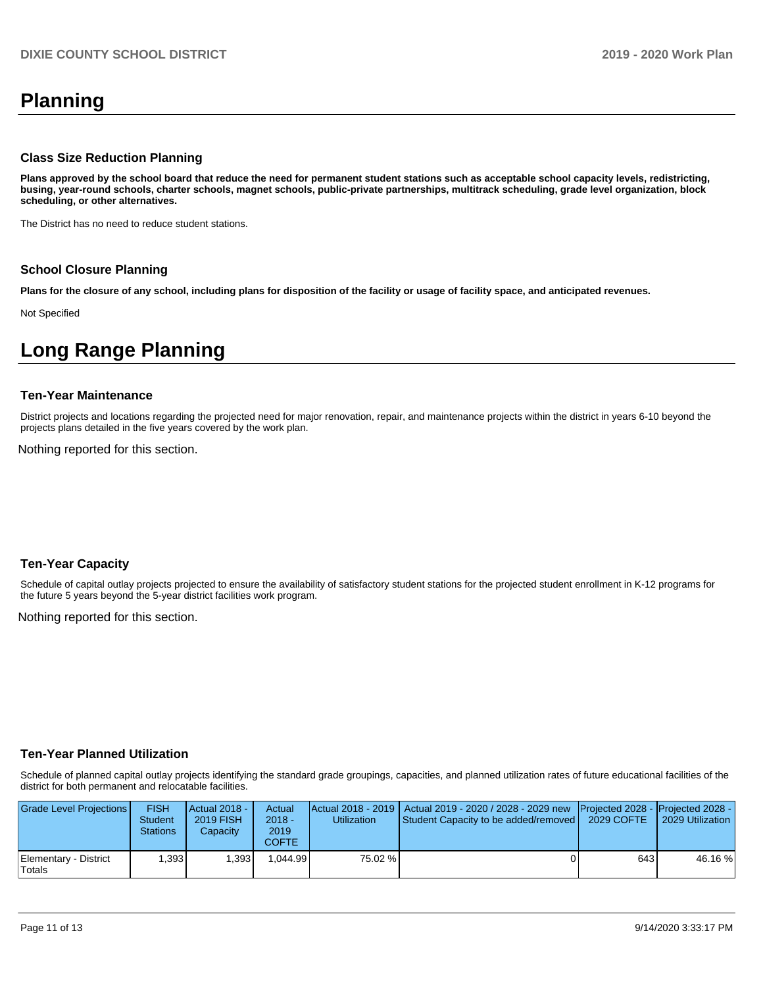# **Planning**

#### **Class Size Reduction Planning**

**Plans approved by the school board that reduce the need for permanent student stations such as acceptable school capacity levels, redistricting, busing, year-round schools, charter schools, magnet schools, public-private partnerships, multitrack scheduling, grade level organization, block scheduling, or other alternatives.**

The District has no need to reduce student stations.

#### **School Closure Planning**

**Plans for the closure of any school, including plans for disposition of the facility or usage of facility space, and anticipated revenues.** 

Not Specified

# **Long Range Planning**

#### **Ten-Year Maintenance**

District projects and locations regarding the projected need for major renovation, repair, and maintenance projects within the district in years 6-10 beyond the projects plans detailed in the five years covered by the work plan.

Nothing reported for this section.

#### **Ten-Year Capacity**

Schedule of capital outlay projects projected to ensure the availability of satisfactory student stations for the projected student enrollment in K-12 programs for the future 5 years beyond the 5-year district facilities work program.

Nothing reported for this section.

#### **Ten-Year Planned Utilization**

Schedule of planned capital outlay projects identifying the standard grade groupings, capacities, and planned utilization rates of future educational facilities of the district for both permanent and relocatable facilities.

| Grade Level Projections         | <b>FISH</b><br><b>Student</b><br><b>Stations</b> | <b>Actual 2018 -</b><br>2019 FISH<br>Capacity | Actual<br>$2018 -$<br>2019<br>COFTE | Utilization | Actual 2018 - 2019   Actual 2019 - 2020 / 2028 - 2029 new   Projected 2028 -   Projected 2028 -<br>Student Capacity to be added/removed | 2029 COFTE | 2029 Utilization |
|---------------------------------|--------------------------------------------------|-----------------------------------------------|-------------------------------------|-------------|-----------------------------------------------------------------------------------------------------------------------------------------|------------|------------------|
| Elementary - District<br>Totals | .3931                                            | 1.393                                         | .044.99                             | 75.02 %     |                                                                                                                                         | 643 l      | 46.16%           |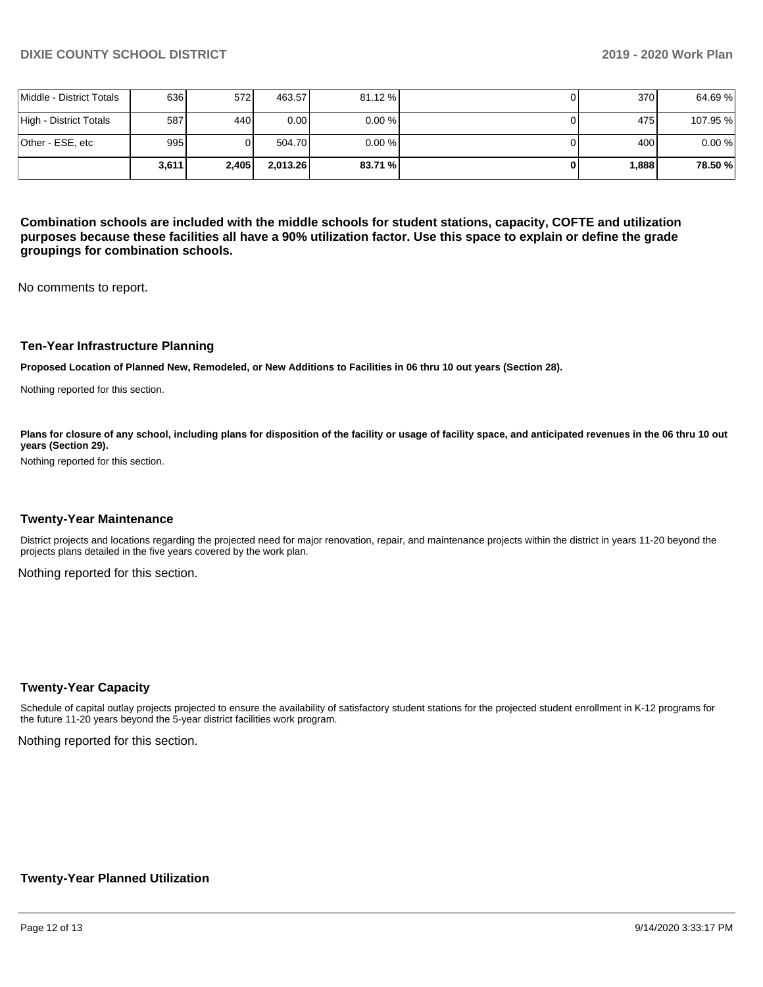|                          | 3.611 | 2,405            | 2.013.26          | 83.71 %   | 1.888 | 78.50 %  |
|--------------------------|-------|------------------|-------------------|-----------|-------|----------|
| Other - ESE, etc         | 995   |                  | 504.70            | $0.00 \%$ | 400 l | 0.00%    |
| High - District Totals   | 587   | 440              | 0.00 <sub>l</sub> | $0.00 \%$ | 475   | 107.95 % |
| Middle - District Totals | 636   | 572 <sup>I</sup> | 463.57            | 81.12 %   | 370   | 64.69%   |

**Combination schools are included with the middle schools for student stations, capacity, COFTE and utilization purposes because these facilities all have a 90% utilization factor. Use this space to explain or define the grade groupings for combination schools.** 

No comments to report.

#### **Ten-Year Infrastructure Planning**

**Proposed Location of Planned New, Remodeled, or New Additions to Facilities in 06 thru 10 out years (Section 28).**

Nothing reported for this section.

Plans for closure of any school, including plans for disposition of the facility or usage of facility space, and anticipated revenues in the 06 thru 10 out **years (Section 29).**

Nothing reported for this section.

#### **Twenty-Year Maintenance**

District projects and locations regarding the projected need for major renovation, repair, and maintenance projects within the district in years 11-20 beyond the projects plans detailed in the five years covered by the work plan.

Nothing reported for this section.

#### **Twenty-Year Capacity**

Schedule of capital outlay projects projected to ensure the availability of satisfactory student stations for the projected student enrollment in K-12 programs for the future 11-20 years beyond the 5-year district facilities work program.

Nothing reported for this section.

#### **Twenty-Year Planned Utilization**